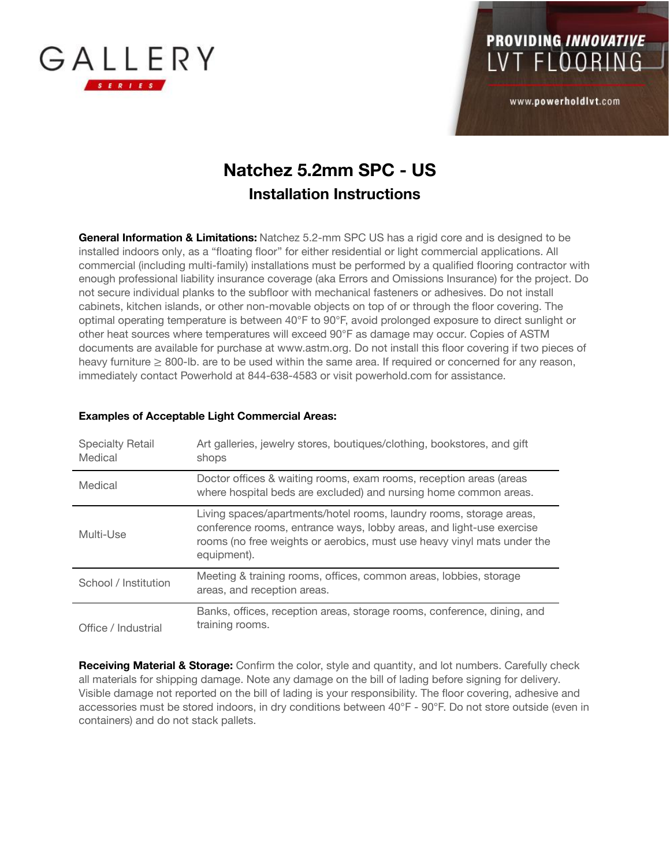



www.powerholdlvt.com

#### **Natchez 5.2mm SPC - US Installation Instructions**

**General Information & Limitations:** Natchez 5.2-mm SPC US has a rigid core and is designed to be installed indoors only, as a "floating floor" for either residential or light commercial applications. All commercial (including multi-family) installations must be performed by a qualified flooring contractor with enough professional liability insurance coverage (aka Errors and Omissions Insurance) for the project. Do not secure individual planks to the subfloor with mechanical fasteners or adhesives. Do not install cabinets, kitchen islands, or other non-movable objects on top of or through the floor covering. The optimal operating temperature is between 40°F to 90°F, avoid prolonged exposure to direct sunlight or other heat sources where temperatures will exceed 90°F as damage may occur. Copies of ASTM documents are available for purchase at www.astm.org. Do not install this floor covering if two pieces of heavy furniture ≥ 800-lb. are to be used within the same area. If required or concerned for any reason, immediately contact Powerhold at 844-638-4583 or visit powerhold.com for assistance.

| <b>Specialty Retail</b><br>Medical | Art galleries, jewelry stores, boutiques/clothing, bookstores, and gift<br>shops                                                                                                                                                      |
|------------------------------------|---------------------------------------------------------------------------------------------------------------------------------------------------------------------------------------------------------------------------------------|
| Medical                            | Doctor offices & waiting rooms, exam rooms, reception areas (areas<br>where hospital beds are excluded) and nursing home common areas.                                                                                                |
| Multi-Use                          | Living spaces/apartments/hotel rooms, laundry rooms, storage areas,<br>conference rooms, entrance ways, lobby areas, and light-use exercise<br>rooms (no free weights or aerobics, must use heavy vinyl mats under the<br>equipment). |
| School / Institution               | Meeting & training rooms, offices, common areas, lobbies, storage<br>areas, and reception areas.                                                                                                                                      |
| Office / Industrial                | Banks, offices, reception areas, storage rooms, conference, dining, and<br>training rooms.                                                                                                                                            |

#### **Examples of Acceptable Light Commercial Areas:**

**Receiving Material & Storage:** Confirm the color, style and quantity, and lot numbers. Carefully check all materials for shipping damage. Note any damage on the bill of lading before signing for delivery. Visible damage not reported on the bill of lading is your responsibility. The floor covering, adhesive and accessories must be stored indoors, in dry conditions between 40°F - 90°F. Do not store outside (even in containers) and do not stack pallets.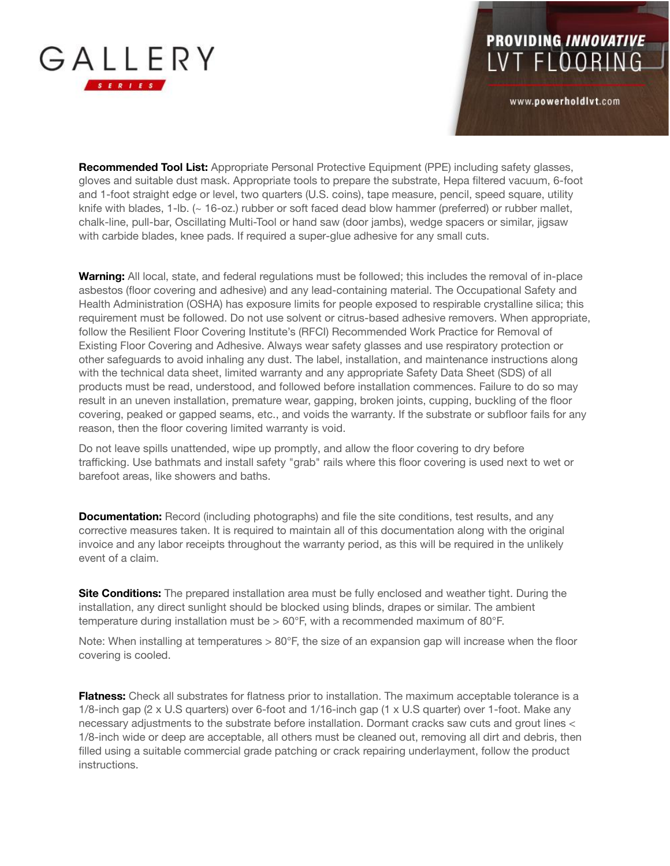

PROVIDING INNOVATIVE LVT FLOORING

www.powerholdlvt.com

**Recommended Tool List:** Appropriate Personal Protective Equipment (PPE) including safety glasses, gloves and suitable dust mask. Appropriate tools to prepare the substrate, Hepa filtered vacuum, 6-foot and 1-foot straight edge or level, two quarters (U.S. coins), tape measure, pencil, speed square, utility knife with blades, 1-lb. (~ 16-oz.) rubber or soft faced dead blow hammer (preferred) or rubber mallet, chalk-line, pull-bar, Oscillating Multi-Tool or hand saw (door jambs), wedge spacers or similar, jigsaw with carbide blades, knee pads. If required a super-glue adhesive for any small cuts.

**Warning:** All local, state, and federal regulations must be followed; this includes the removal of in-place asbestos (floor covering and adhesive) and any lead-containing material. The Occupational Safety and Health Administration (OSHA) has exposure limits for people exposed to respirable crystalline silica; this requirement must be followed. Do not use solvent or citrus-based adhesive removers. When appropriate, follow the Resilient Floor Covering Institute's (RFCI) Recommended Work Practice for Removal of Existing Floor Covering and Adhesive. Always wear safety glasses and use respiratory protection or other safeguards to avoid inhaling any dust. The label, installation, and maintenance instructions along with the technical data sheet, limited warranty and any appropriate Safety Data Sheet (SDS) of all products must be read, understood, and followed before installation commences. Failure to do so may result in an uneven installation, premature wear, gapping, broken joints, cupping, buckling of the floor covering, peaked or gapped seams, etc., and voids the warranty. If the substrate or subfloor fails for any reason, then the floor covering limited warranty is void.

Do not leave spills unattended, wipe up promptly, and allow the floor covering to dry before trafficking. Use bathmats and install safety "grab" rails where this floor covering is used next to wet or barefoot areas, like showers and baths.

**Documentation:** Record (including photographs) and file the site conditions, test results, and any corrective measures taken. It is required to maintain all of this documentation along with the original invoice and any labor receipts throughout the warranty period, as this will be required in the unlikely event of a claim.

**Site Conditions:** The prepared installation area must be fully enclosed and weather tight. During the installation, any direct sunlight should be blocked using blinds, drapes or similar. The ambient temperature during installation must be  $> 60^{\circ}$ F, with a recommended maximum of 80 $^{\circ}$ F.

Note: When installing at temperatures  $> 80^\circ$ F, the size of an expansion gap will increase when the floor covering is cooled.

**Flatness:** Check all substrates for flatness prior to installation. The maximum acceptable tolerance is a 1/8-inch gap (2 x U.S quarters) over 6-foot and 1/16-inch gap (1 x U.S quarter) over 1-foot. Make any necessary adjustments to the substrate before installation. Dormant cracks saw cuts and grout lines < 1/8-inch wide or deep are acceptable, all others must be cleaned out, removing all dirt and debris, then filled using a suitable commercial grade patching or crack repairing underlayment, follow the product instructions.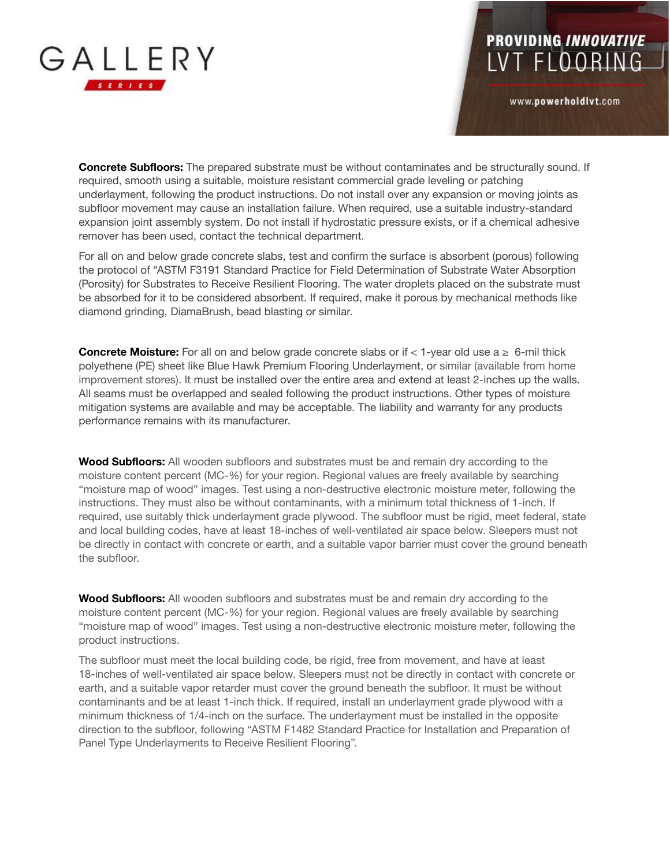

**Concrete Subfloors:** The prepared substrate must be without contaminates and be structurally sound. If required, smooth using a suitable, moisture resistant commercial grade leveling or patching underlayment, following the product instructions. Do not install over any expansion or moving joints as subfloor movement may cause an installation failure. When required, use a suitable industry-standard expansion joint assembly system. Do not install if hydrostatic pressure exists, or if a chemical adhesive remover has been used, contact the technical department.

**PROVIDING INNOVATIVE** 

LVT FLOORING

www.powerholdlvt.com

For all on and below grade concrete slabs, test and confirm the surface is absorbent (porous) following the protocol of "ASTM F3191 Standard Practice for Field Determination of Substrate Water Absorption (Porosity) for Substrates to Receive Resilient Flooring. The water droplets placed on the substrate must be absorbed for it to be considered absorbent. If required, make it porous by mechanical methods like diamond grinding, DiamaBrush, bead blasting or similar.

**Concrete Moisture:** For all on and below grade concrete slabs or if  $\lt$  1-year old use  $a \geq 6$ -mil thick polyethene (PE) sheet like Blue Hawk Premium Flooring Underlayment, or similar (available from home improvement stores). It must be installed over the entire area and extend at least 2-inches up the walls. All seams must be overlapped and sealed following the product instructions. Other types of moisture mitigation systems are available and may be acceptable. The liability and warranty for any products performance remains with its manufacturer.

**Wood Subfloors:** All wooden subfloors and substrates must be and remain dry according to the moisture content percent (MC-%) for your region. Regional values are freely available by searching "moisture map of wood" images. Test using a non-destructive electronic moisture meter, following the instructions. They must also be without contaminants, with a minimum total thickness of 1-inch. If required, use suitably thick underlayment grade plywood. The subfloor must be rigid, meet federal, state and local building codes, have at least 18-inches of well-ventilated air space below. Sleepers must not be directly in contact with concrete or earth, and a suitable vapor barrier must cover the ground beneath the subfloor.

**Wood Subfloors:** All wooden subfloors and substrates must be and remain dry according to the moisture content percent (MC-%) for your region. Regional values are freely available by searching "moisture map of wood" images. Test using a non-destructive electronic moisture meter, following the product instructions.

The subfloor must meet the local building code, be rigid, free from movement, and have at least 18-inches of well-ventilated air space below. Sleepers must not be directly in contact with concrete or earth, and a suitable vapor retarder must cover the ground beneath the subfloor. It must be without contaminants and be at least 1-inch thick. If required, install an underlayment grade plywood with a minimum thickness of 1/4-inch on the surface. The underlayment must be installed in the opposite direction to the subfloor, following "ASTM F1482 Standard Practice for Installation and Preparation of Panel Type Underlayments to Receive Resilient Flooring".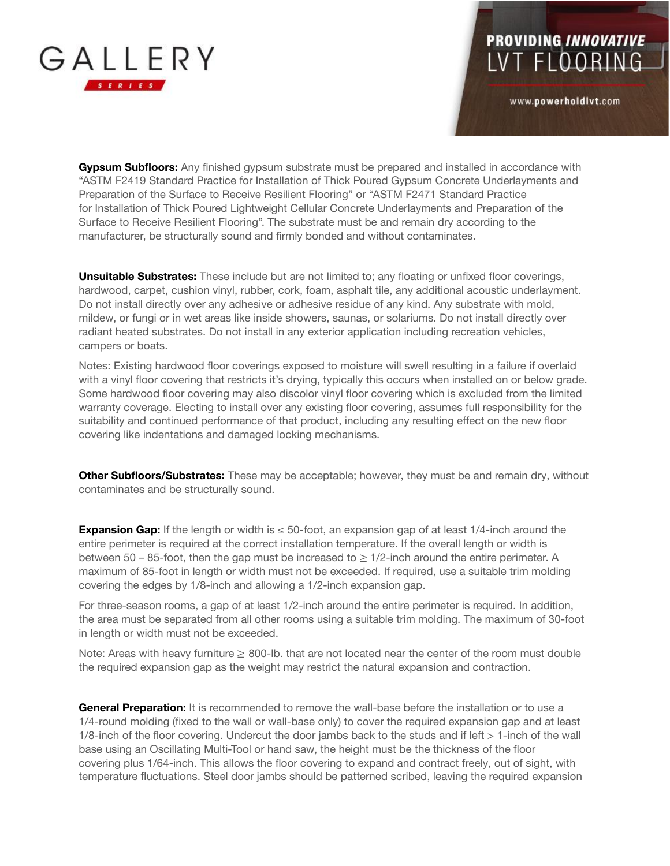

# PROVIDING INNOVATIVE<br>LVT FLOORING

www.powerholdlvt.com

**Gypsum Subfloors:** Any finished gypsum substrate must be prepared and installed in accordance with "ASTM F2419 Standard Practice for Installation of Thick Poured Gypsum Concrete Underlayments and Preparation of the Surface to Receive Resilient Flooring" or "ASTM F2471 Standard Practice for Installation of Thick Poured Lightweight Cellular Concrete Underlayments and Preparation of the Surface to Receive Resilient Flooring". The substrate must be and remain dry according to the manufacturer, be structurally sound and firmly bonded and without contaminates.

**Unsuitable Substrates:** These include but are not limited to; any floating or unfixed floor coverings, hardwood, carpet, cushion vinyl, rubber, cork, foam, asphalt tile, any additional acoustic underlayment. Do not install directly over any adhesive or adhesive residue of any kind. Any substrate with mold, mildew, or fungi or in wet areas like inside showers, saunas, or solariums. Do not install directly over radiant heated substrates. Do not install in any exterior application including recreation vehicles, campers or boats.

Notes: Existing hardwood floor coverings exposed to moisture will swell resulting in a failure if overlaid with a vinyl floor covering that restricts it's drying, typically this occurs when installed on or below grade. Some hardwood floor covering may also discolor vinyl floor covering which is excluded from the limited warranty coverage. Electing to install over any existing floor covering, assumes full responsibility for the suitability and continued performance of that product, including any resulting effect on the new floor covering like indentations and damaged locking mechanisms.

**Other Subfloors/Substrates:** These may be acceptable; however, they must be and remain dry, without contaminates and be structurally sound.

**Expansion Gap:** If the length or width is ≤ 50-foot, an expansion gap of at least 1/4-inch around the entire perimeter is required at the correct installation temperature. If the overall length or width is between  $50 - 85$ -foot, then the gap must be increased to  $\geq 1/2$ -inch around the entire perimeter. A maximum of 85-foot in length or width must not be exceeded. If required, use a suitable trim molding covering the edges by 1/8-inch and allowing a 1/2-inch expansion gap.

For three-season rooms, a gap of at least 1/2-inch around the entire perimeter is required. In addition, the area must be separated from all other rooms using a suitable trim molding. The maximum of 30-foot in length or width must not be exceeded.

Note: Areas with heavy furniture  $\geq 800$ -lb. that are not located near the center of the room must double the required expansion gap as the weight may restrict the natural expansion and contraction.

**General Preparation:** It is recommended to remove the wall-base before the installation or to use a 1/4-round molding (fixed to the wall or wall-base only) to cover the required expansion gap and at least 1/8-inch of the floor covering. Undercut the door jambs back to the studs and if left > 1-inch of the wall base using an Oscillating Multi-Tool or hand saw, the height must be the thickness of the floor covering plus 1/64-inch. This allows the floor covering to expand and contract freely, out of sight, with temperature fluctuations. Steel door jambs should be patterned scribed, leaving the required expansion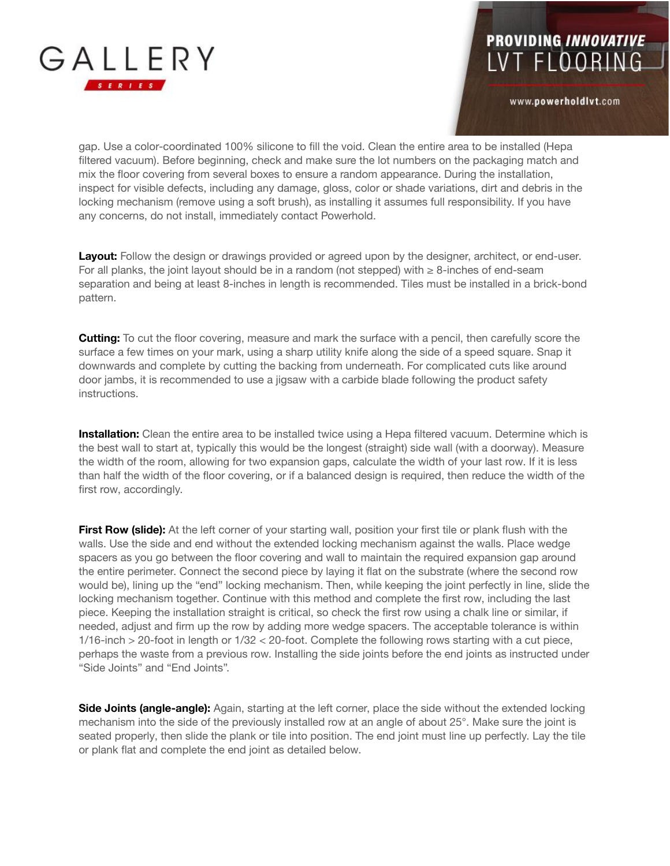

### **PROVIDING INNOVATIVE** LVT FLOORING

www.powerholdlvt.com

gap. Use a color-coordinated 100% silicone to fill the void. Clean the entire area to be installed (Hepa filtered vacuum). Before beginning, check and make sure the lot numbers on the packaging match and mix the floor covering from several boxes to ensure a random appearance. During the installation, inspect for visible defects, including any damage, gloss, color or shade variations, dirt and debris in the locking mechanism (remove using a soft brush), as installing it assumes full responsibility. If you have any concerns, do not install, immediately contact Powerhold.

**Layout:** Follow the design or drawings provided or agreed upon by the designer, architect, or end-user. For all planks, the joint layout should be in a random (not stepped) with  $\geq 8$ -inches of end-seam separation and being at least 8-inches in length is recommended. Tiles must be installed in a brick-bond pattern.

**Cutting:** To cut the floor covering, measure and mark the surface with a pencil, then carefully score the surface a few times on your mark, using a sharp utility knife along the side of a speed square. Snap it downwards and complete by cutting the backing from underneath. For complicated cuts like around door jambs, it is recommended to use a jigsaw with a carbide blade following the product safety instructions.

**Installation:** Clean the entire area to be installed twice using a Hepa filtered vacuum. Determine which is the best wall to start at, typically this would be the longest (straight) side wall (with a doorway). Measure the width of the room, allowing for two expansion gaps, calculate the width of your last row. If it is less than half the width of the floor covering, or if a balanced design is required, then reduce the width of the first row, accordingly.

**First Row (slide):** At the left corner of your starting wall, position your first tile or plank flush with the walls. Use the side and end without the extended locking mechanism against the walls. Place wedge spacers as you go between the floor covering and wall to maintain the required expansion gap around the entire perimeter. Connect the second piece by laying it flat on the substrate (where the second row would be), lining up the "end" locking mechanism. Then, while keeping the joint perfectly in line, slide the locking mechanism together. Continue with this method and complete the first row, including the last piece. Keeping the installation straight is critical, so check the first row using a chalk line or similar, if needed, adjust and firm up the row by adding more wedge spacers. The acceptable tolerance is within 1/16-inch > 20-foot in length or 1/32 < 20-foot. Complete the following rows starting with a cut piece, perhaps the waste from a previous row. Installing the side joints before the end joints as instructed under "Side Joints" and "End Joints".

**Side Joints (angle-angle):** Again, starting at the left corner, place the side without the extended locking mechanism into the side of the previously installed row at an angle of about 25°. Make sure the joint is seated properly, then slide the plank or tile into position. The end joint must line up perfectly. Lay the tile or plank flat and complete the end joint as detailed below.